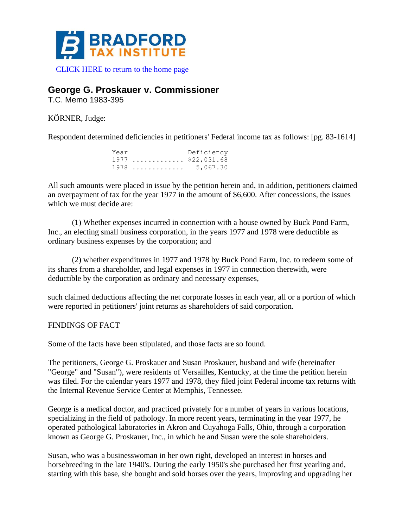

## **George G. Proskauer v. Commissioner**

T.C. Memo 1983-395

KÖRNER, Judge:

Respondent determined deficiencies in petitioners' Federal income tax as follows: [pg. 83-1614]

| Year               | Deficiency |
|--------------------|------------|
| $1977$ \$22,031.68 |            |
| $1978$ 5,067.30    |            |

All such amounts were placed in issue by the petition herein and, in addition, petitioners claimed an overpayment of tax for the year 1977 in the amount of \$6,600. After concessions, the issues which we must decide are:

(1) Whether expenses incurred in connection with a house owned by Buck Pond Farm, Inc., an electing small business corporation, in the years 1977 and 1978 were deductible as ordinary business expenses by the corporation; and

(2) whether expenditures in 1977 and 1978 by Buck Pond Farm, Inc. to redeem some of its shares from a shareholder, and legal expenses in 1977 in connection therewith, were deductible by the corporation as ordinary and necessary expenses,

such claimed deductions affecting the net corporate losses in each year, all or a portion of which were reported in petitioners' joint returns as shareholders of said corporation.

FINDINGS OF FACT

Some of the facts have been stipulated, and those facts are so found.

The petitioners, George G. Proskauer and Susan Proskauer, husband and wife (hereinafter "George" and "Susan"), were residents of Versailles, Kentucky, at the time the petition herein was filed. For the calendar years 1977 and 1978, they filed joint Federal income tax returns with the Internal Revenue Service Center at Memphis, Tennessee.

George is a medical doctor, and practiced privately for a number of years in various locations, specializing in the field of pathology. In more recent years, terminating in the year 1977, he operated pathological laboratories in Akron and Cuyahoga Falls, Ohio, through a corporation known as George G. Proskauer, Inc., in which he and Susan were the sole shareholders.

Susan, who was a businesswoman in her own right, developed an interest in horses and horsebreeding in the late 1940's. During the early 1950's she purchased her first yearling and, starting with this base, she bought and sold horses over the years, improving and upgrading her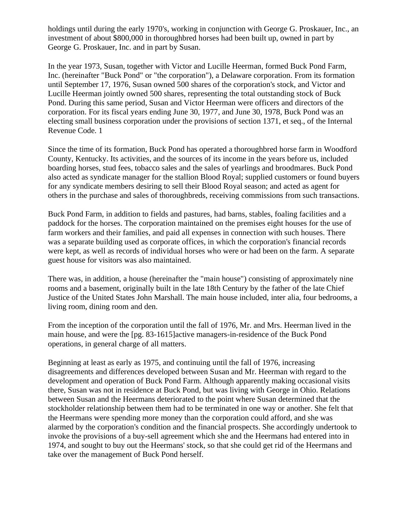holdings until during the early 1970's, working in conjunction with George G. Proskauer, Inc., an investment of about \$800,000 in thoroughbred horses had been built up, owned in part by George G. Proskauer, Inc. and in part by Susan.

In the year 1973, Susan, together with Victor and Lucille Heerman, formed Buck Pond Farm, Inc. (hereinafter "Buck Pond" or "the corporation"), a Delaware corporation. From its formation until September 17, 1976, Susan owned 500 shares of the corporation's stock, and Victor and Lucille Heerman jointly owned 500 shares, representing the total outstanding stock of Buck Pond. During this same period, Susan and Victor Heerman were officers and directors of the corporation. For its fiscal years ending June 30, 1977, and June 30, 1978, Buck Pond was an electing small business corporation under the provisions of section 1371, et seq., of the Internal Revenue Code. 1

Since the time of its formation, Buck Pond has operated a thoroughbred horse farm in Woodford County, Kentucky. Its activities, and the sources of its income in the years before us, included boarding horses, stud fees, tobacco sales and the sales of yearlings and broodmares. Buck Pond also acted as syndicate manager for the stallion Blood Royal; supplied customers or found buyers for any syndicate members desiring to sell their Blood Royal season; and acted as agent for others in the purchase and sales of thoroughbreds, receiving commissions from such transactions.

Buck Pond Farm, in addition to fields and pastures, had barns, stables, foaling facilities and a paddock for the horses. The corporation maintained on the premises eight houses for the use of farm workers and their families, and paid all expenses in connection with such houses. There was a separate building used as corporate offices, in which the corporation's financial records were kept, as well as records of individual horses who were or had been on the farm. A separate guest house for visitors was also maintained.

There was, in addition, a house (hereinafter the "main house") consisting of approximately nine rooms and a basement, originally built in the late 18th Century by the father of the late Chief Justice of the United States John Marshall. The main house included, inter alia, four bedrooms, a living room, dining room and den.

From the inception of the corporation until the fall of 1976, Mr. and Mrs. Heerman lived in the main house, and were the [pg. 83-1615]active managers-in-residence of the Buck Pond operations, in general charge of all matters.

Beginning at least as early as 1975, and continuing until the fall of 1976, increasing disagreements and differences developed between Susan and Mr. Heerman with regard to the development and operation of Buck Pond Farm. Although apparently making occasional visits there, Susan was not in residence at Buck Pond, but was living with George in Ohio. Relations between Susan and the Heermans deteriorated to the point where Susan determined that the stockholder relationship between them had to be terminated in one way or another. She felt that the Heermans were spending more money than the corporation could afford, and she was alarmed by the corporation's condition and the financial prospects. She accordingly undertook to invoke the provisions of a buy-sell agreement which she and the Heermans had entered into in 1974, and sought to buy out the Heermans' stock, so that she could get rid of the Heermans and take over the management of Buck Pond herself.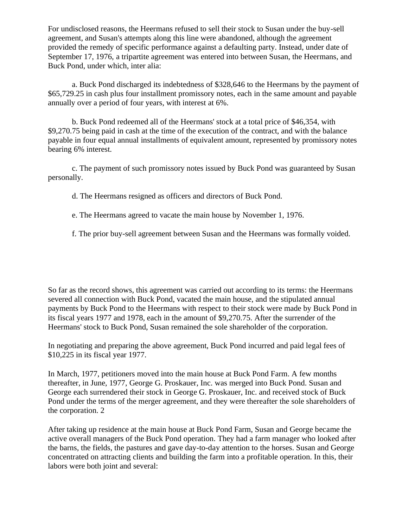For undisclosed reasons, the Heermans refused to sell their stock to Susan under the buy-sell agreement, and Susan's attempts along this line were abandoned, although the agreement provided the remedy of specific performance against a defaulting party. Instead, under date of September 17, 1976, a tripartite agreement was entered into between Susan, the Heermans, and Buck Pond, under which, inter alia:

a. Buck Pond discharged its indebtedness of \$328,646 to the Heermans by the payment of \$65,729.25 in cash plus four installment promissory notes, each in the same amount and payable annually over a period of four years, with interest at 6%.

b. Buck Pond redeemed all of the Heermans' stock at a total price of \$46,354, with \$9,270.75 being paid in cash at the time of the execution of the contract, and with the balance payable in four equal annual installments of equivalent amount, represented by promissory notes bearing 6% interest.

c. The payment of such promissory notes issued by Buck Pond was guaranteed by Susan personally.

d. The Heermans resigned as officers and directors of Buck Pond.

e. The Heermans agreed to vacate the main house by November 1, 1976.

f. The prior buy-sell agreement between Susan and the Heermans was formally voided.

So far as the record shows, this agreement was carried out according to its terms: the Heermans severed all connection with Buck Pond, vacated the main house, and the stipulated annual payments by Buck Pond to the Heermans with respect to their stock were made by Buck Pond in its fiscal years 1977 and 1978, each in the amount of \$9,270.75. After the surrender of the Heermans' stock to Buck Pond, Susan remained the sole shareholder of the corporation.

In negotiating and preparing the above agreement, Buck Pond incurred and paid legal fees of \$10,225 in its fiscal year 1977.

In March, 1977, petitioners moved into the main house at Buck Pond Farm. A few months thereafter, in June, 1977, George G. Proskauer, Inc. was merged into Buck Pond. Susan and George each surrendered their stock in George G. Proskauer, Inc. and received stock of Buck Pond under the terms of the merger agreement, and they were thereafter the sole shareholders of the corporation. 2

After taking up residence at the main house at Buck Pond Farm, Susan and George became the active overall managers of the Buck Pond operation. They had a farm manager who looked after the barns, the fields, the pastures and gave day-to-day attention to the horses. Susan and George concentrated on attracting clients and building the farm into a profitable operation. In this, their labors were both joint and several: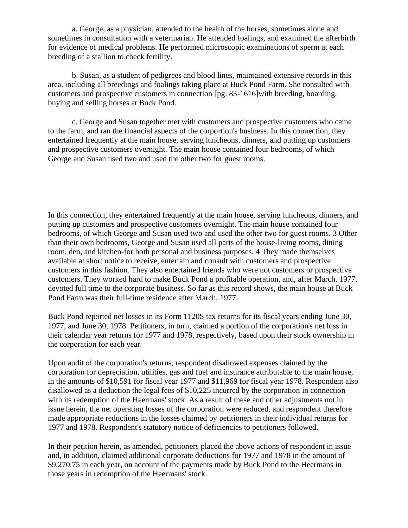a. George, as a physician, attended to the health of the horses, sometimes alone and sometimes in consultation with a veterinarian. He attended foalings, and examined the afterbirth for evidence of medical problems. He performed microscopic examinations of sperm at each breeding of a stallion to check fertility.

b. Susan, as a student of pedigrees and blood lines, maintained extensive records in this area, including all breedings and foalings taking place at Buck Pond Farm. She consulted with customers and prospective customers in connection [pg. 83-1616]with breeding, boarding, buying and selling horses at Buck Pond.

c. George and Susan together met with customers and prospective customers who came to the farm, and ran the financial aspects of the corportion's business. In this connection, they entertained frequently at the main house, serving luncheons, dinners, and putting up customers and prospective customers overnight. The main house contained four bedrooms, of which George and Susan used two and used the other two for guest rooms.

In this connection, they entertained frequently at the main house, serving luncheons, dinners, and putting up customers and prospective customers overnight. The main house contained four bedrooms, of which George and Susan used two and used the other two for guest rooms. 3 Other than their own bedrooms, George and Susan used all parts of the house-living rooms, dining room, den, and kitchen-for both personal and business purposes. 4 They made themselves available at short notice to receive, entertain and consult with customers and prospective customers in this fashion. They also entertained friends who were not customers or prospective customers. They worked hard to make Buck Pond a profitable operation, and, after March, 1977, devoted full time to the corporate business. So far as this record shows, the main house at Buck Pond Farm was their full-time residence after March, 1977.

Buck Pond reported net losses in its Form 1120S tax returns for its fiscal years ending June 30, 1977, and June 30, 1978. Petitioners, in turn, claimed a portion of the corporation's net loss in their calendar year returns for 1977 and 1978, respectively, based upon their stock ownership in the corporation for each year.

Upon audit of the corporation's returns, respondent disallowed expenses claimed by the corporation for depreciation, utilities, gas and fuel and insurance attributable to the main house, in the amounts of \$10,591 for fiscal year 1977 and \$11,969 for fiscal year 1978. Respondent also disallowed as a deduction the legal fees of \$10,225 incurred by the corporation in connection with its redemption of the Heermans' stock. As a result of these and other adjustments not in issue herein, the net operating losses of the corporation were reduced, and respondent therefore made appropriate reductions in the losses claimed by petitioners in their individual returns for 1977 and 1978. Respondent's statutory notice of deficiencies to petitioners followed.

In their petition herein, as amended, petitioners placed the above actions of respondent in issue and, in addition, claimed additional corporate deductions for 1977 and 1978 in the amount of \$9,270.75 in each year, on account of the payments made by Buck Pond to the Heermans in those years in redemption of the Heermans' stock.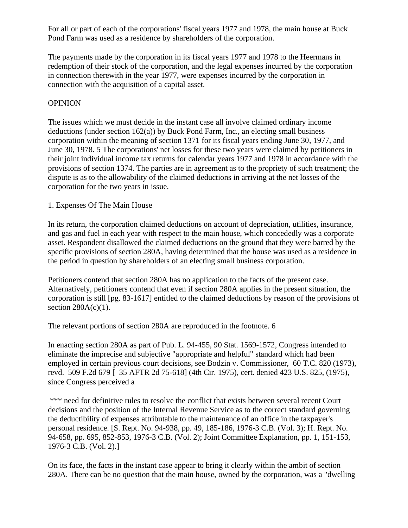For all or part of each of the corporations' fiscal years 1977 and 1978, the main house at Buck Pond Farm was used as a residence by shareholders of the corporation.

The payments made by the corporation in its fiscal years 1977 and 1978 to the Heermans in redemption of their stock of the corporation, and the legal expenses incurred by the corporation in connection therewith in the year 1977, were expenses incurred by the corporation in connection with the acquisition of a capital asset.

## **OPINION**

The issues which we must decide in the instant case all involve claimed ordinary income deductions (under section 162(a)) by Buck Pond Farm, Inc., an electing small business corporation within the meaning of section 1371 for its fiscal years ending June 30, 1977, and June 30, 1978. 5 The corporations' net losses for these two years were claimed by petitioners in their joint individual income tax returns for calendar years 1977 and 1978 in accordance with the provisions of section 1374. The parties are in agreement as to the propriety of such treatment; the dispute is as to the allowability of the claimed deductions in arriving at the net losses of the corporation for the two years in issue.

## 1. Expenses Of The Main House

In its return, the corporation claimed deductions on account of depreciation, utilities, insurance, and gas and fuel in each year with respect to the main house, which concededly was a corporate asset. Respondent disallowed the claimed deductions on the ground that they were barred by the specific provisions of section 280A, having determined that the house was used as a residence in the period in question by shareholders of an electing small business corporation.

Petitioners contend that section 280A has no application to the facts of the present case. Alternatively, petitioners contend that even if section 280A applies in the present situation, the corporation is still [pg. 83-1617] entitled to the claimed deductions by reason of the provisions of section  $280A(c)(1)$ .

The relevant portions of section 280A are reproduced in the footnote. 6

In enacting section 280A as part of Pub. L. 94-455, 90 Stat. 1569-1572, Congress intended to eliminate the imprecise and subjective "appropriate and helpful" standard which had been employed in certain previous court decisions, see Bodzin v. Commissioner, 60 T.C. 820 (1973), revd. 509 F.2d 679 [ 35 AFTR 2d 75-618] (4th Cir. 1975), cert. denied 423 U.S. 825, (1975), since Congress perceived a

\*\*\* need for definitive rules to resolve the conflict that exists between several recent Court decisions and the position of the Internal Revenue Service as to the correct standard governing the deductibility of expenses attributable to the maintenance of an office in the taxpayer's personal residence. [S. Rept. No. 94-938, pp. 49, 185-186, 1976-3 C.B. (Vol. 3); H. Rept. No. 94-658, pp. 695, 852-853, 1976-3 C.B. (Vol. 2); Joint Committee Explanation, pp. 1, 151-153, 1976-3 C.B. (Vol. 2).]

On its face, the facts in the instant case appear to bring it clearly within the ambit of section 280A. There can be no question that the main house, owned by the corporation, was a "dwelling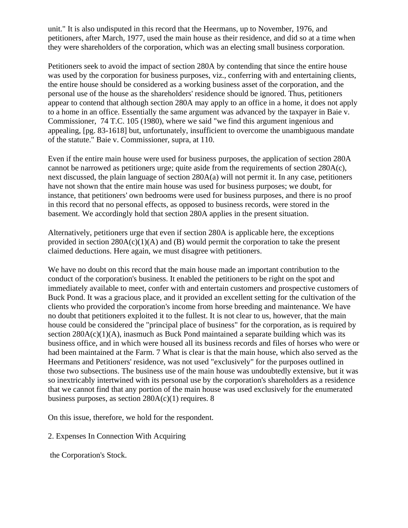unit." It is also undisputed in this record that the Heermans, up to November, 1976, and petitioners, after March, 1977, used the main house as their residence, and did so at a time when they were shareholders of the corporation, which was an electing small business corporation.

Petitioners seek to avoid the impact of section 280A by contending that since the entire house was used by the corporation for business purposes, viz., conferring with and entertaining clients, the entire house should be considered as a working business asset of the corporation, and the personal use of the house as the shareholders' residence should be ignored. Thus, petitioners appear to contend that although section 280A may apply to an office in a home, it does not apply to a home in an office. Essentially the same argument was advanced by the taxpayer in Baie v. Commissioner, 74 T.C. 105 (1980), where we said "we find this argument ingenious and appealing, [pg. 83-1618] but, unfortunately, insufficient to overcome the unambiguous mandate of the statute." Baie v. Commissioner, supra, at 110.

Even if the entire main house were used for business purposes, the application of section 280A cannot be narrowed as petitioners urge; quite aside from the requirements of section  $280A(c)$ , next discussed, the plain language of section 280A(a) will not permit it. In any case, petitioners have not shown that the entire main house was used for business purposes; we doubt, for instance, that petitioners' own bedrooms were used for business purposes, and there is no proof in this record that no personal effects, as opposed to business records, were stored in the basement. We accordingly hold that section 280A applies in the present situation.

Alternatively, petitioners urge that even if section 280A is applicable here, the exceptions provided in section  $280A(c)(1)(A)$  and (B) would permit the corporation to take the present claimed deductions. Here again, we must disagree with petitioners.

We have no doubt on this record that the main house made an important contribution to the conduct of the corporation's business. It enabled the petitioners to be right on the spot and immediately available to meet, confer with and entertain customers and prospective customers of Buck Pond. It was a gracious place, and it provided an excellent setting for the cultivation of the clients who provided the corporation's income from horse breeding and maintenance. We have no doubt that petitioners exploited it to the fullest. It is not clear to us, however, that the main house could be considered the "principal place of business" for the corporation, as is required by section  $280A(c)(1)(A)$ , inasmuch as Buck Pond maintained a separate building which was its business office, and in which were housed all its business records and files of horses who were or had been maintained at the Farm. 7 What is clear is that the main house, which also served as the Heermans and Petitioners' residence, was not used "exclusively" for the purposes outlined in those two subsections. The business use of the main house was undoubtedly extensive, but it was so inextricably intertwined with its personal use by the corporation's shareholders as a residence that we cannot find that any portion of the main house was used exclusively for the enumerated business purposes, as section  $280A(c)(1)$  requires. 8

On this issue, therefore, we hold for the respondent.

2. Expenses In Connection With Acquiring

the Corporation's Stock.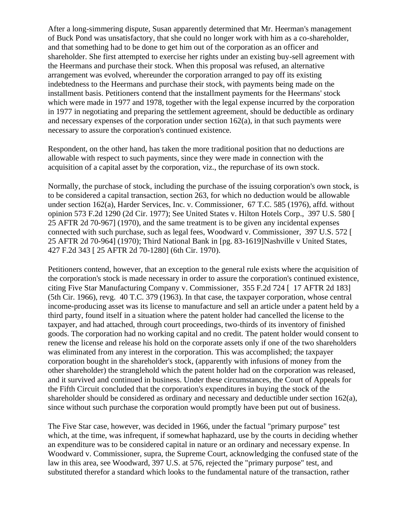After a long-simmering dispute, Susan apparently determined that Mr. Heerman's management of Buck Pond was unsatisfactory, that she could no longer work with him as a co-shareholder, and that something had to be done to get him out of the corporation as an officer and shareholder. She first attempted to exercise her rights under an existing buy-sell agreement with the Heermans and purchase their stock. When this proposal was refused, an alternative arrangement was evolved, whereunder the corporation arranged to pay off its existing indebtedness to the Heermans and purchase their stock, with payments being made on the installment basis. Petitioners contend that the installment payments for the Heermans' stock which were made in 1977 and 1978, together with the legal expense incurred by the corporation in 1977 in negotiating and preparing the settlement agreement, should be deductible as ordinary and necessary expenses of the corporation under section 162(a), in that such payments were necessary to assure the corporation's continued existence.

Respondent, on the other hand, has taken the more traditional position that no deductions are allowable with respect to such payments, since they were made in connection with the acquisition of a capital asset by the corporation, viz., the repurchase of its own stock.

Normally, the purchase of stock, including the purchase of the issuing corporation's own stock, is to be considered a capital transaction, section 263, for which no deduction would be allowable under section 162(a), Harder Services, Inc. v. Commissioner, 67 T.C. 585 (1976), affd. without opinion 573 F.2d 1290 (2d Cir. 1977); See United States v. Hilton Hotels Corp., 397 U.S. 580 [ 25 AFTR 2d 70-967] (1970), and the same treatment is to be given any incidental expenses connected with such purchase, such as legal fees, Woodward v. Commissioner, 397 U.S. 572 [ 25 AFTR 2d 70-964] (1970); Third National Bank in [pg. 83-1619]Nashville v United States, 427 F.2d 343 [ 25 AFTR 2d 70-1280] (6th Cir. 1970).

Petitioners contend, however, that an exception to the general rule exists where the acquisition of the corporation's stock is made necessary in order to assure the corporation's continued existence, citing Five Star Manufacturing Company v. Commissioner, 355 F.2d 724 [ 17 AFTR 2d 183] (5th Cir. 1966), revg. 40 T.C. 379 (1963). In that case, the taxpayer corporation, whose central income-producing asset was its license to manufacture and sell an article under a patent held by a third party, found itself in a situation where the patent holder had cancelled the license to the taxpayer, and had attached, through court proceedings, two-thirds of its inventory of finished goods. The corporation had no working capital and no credit. The patent holder would consent to renew the license and release his hold on the corporate assets only if one of the two shareholders was eliminated from any interest in the corporation. This was accomplished; the taxpayer corporation bought in the shareholder's stock, (apparently with infusions of money from the other shareholder) the stranglehold which the patent holder had on the corporation was released, and it survived and continued in business. Under these circumstances, the Court of Appeals for the Fifth Circuit concluded that the corporation's expenditures in buying the stock of the shareholder should be considered as ordinary and necessary and deductible under section 162(a), since without such purchase the corporation would promptly have been put out of business.

The Five Star case, however, was decided in 1966, under the factual "primary purpose" test which, at the time, was infrequent, if somewhat haphazard, use by the courts in deciding whether an expenditure was to be considered capital in nature or an ordinary and necessary expense. In Woodward v. Commissioner, supra, the Supreme Court, acknowledging the confused state of the law in this area, see Woodward, 397 U.S. at 576, rejected the "primary purpose" test, and substituted therefor a standard which looks to the fundamental nature of the transaction, rather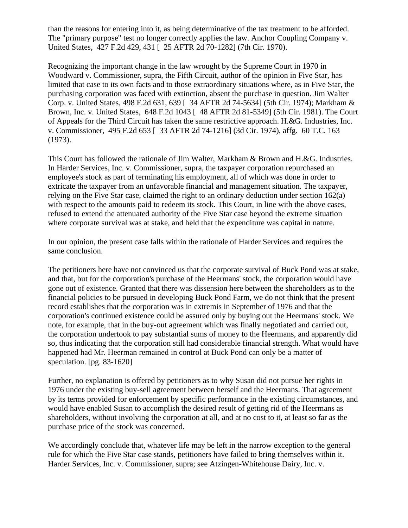than the reasons for entering into it, as being determinative of the tax treatment to be afforded. The "primary purpose" test no longer correctly applies the law. Anchor Coupling Company v. United States, 427 F.2d 429, 431 [ 25 AFTR 2d 70-1282] (7th Cir. 1970).

Recognizing the important change in the law wrought by the Supreme Court in 1970 in Woodward v. Commissioner, supra, the Fifth Circuit, author of the opinion in Five Star, has limited that case to its own facts and to those extraordinary situations where, as in Five Star, the purchasing corporation was faced with extinction, absent the purchase in question. Jim Walter Corp. v. United States, 498 F.2d 631, 639 [ 34 AFTR 2d 74-5634] (5th Cir. 1974); Markham & Brown, Inc. v. United States, 648 F.2d 1043 [ 48 AFTR 2d 81-5349] (5th Cir. 1981). The Court of Appeals for the Third Circuit has taken the same restrictive approach. H.&G. Industries, Inc. v. Commissioner, 495 F.2d 653 [ 33 AFTR 2d 74-1216] (3d Cir. 1974), affg. 60 T.C. 163 (1973).

This Court has followed the rationale of Jim Walter, Markham & Brown and H.&G. Industries. In Harder Services, Inc. v. Commissioner, supra, the taxpayer corporation repurchased an employee's stock as part of terminating his employment, all of which was done in order to extricate the taxpayer from an unfavorable financial and management situation. The taxpayer, relying on the Five Star case, claimed the right to an ordinary deduction under section 162(a) with respect to the amounts paid to redeem its stock. This Court, in line with the above cases, refused to extend the attenuated authority of the Five Star case beyond the extreme situation where corporate survival was at stake, and held that the expenditure was capital in nature.

In our opinion, the present case falls within the rationale of Harder Services and requires the same conclusion.

The petitioners here have not convinced us that the corporate survival of Buck Pond was at stake, and that, but for the corporation's purchase of the Heermans' stock, the corporation would have gone out of existence. Granted that there was dissension here between the shareholders as to the financial policies to be pursued in developing Buck Pond Farm, we do not think that the present record establishes that the corporation was in extremis in September of 1976 and that the corporation's continued existence could be assured only by buying out the Heermans' stock. We note, for example, that in the buy-out agreement which was finally negotiated and carried out, the corporation undertook to pay substantial sums of money to the Heermans, and apparently did so, thus indicating that the corporation still had considerable financial strength. What would have happened had Mr. Heerman remained in control at Buck Pond can only be a matter of speculation. [pg. 83-1620]

Further, no explanation is offered by petitioners as to why Susan did not pursue her rights in 1976 under the existing buy-sell agreement between herself and the Heermans. That agreement by its terms provided for enforcement by specific performance in the existing circumstances, and would have enabled Susan to accomplish the desired result of getting rid of the Heermans as shareholders, without involving the corporation at all, and at no cost to it, at least so far as the purchase price of the stock was concerned.

We accordingly conclude that, whatever life may be left in the narrow exception to the general rule for which the Five Star case stands, petitioners have failed to bring themselves within it. Harder Services, Inc. v. Commissioner, supra; see Atzingen-Whitehouse Dairy, Inc. v.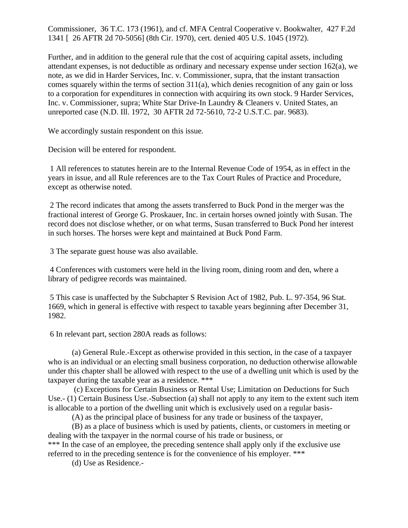Commissioner, 36 T.C. 173 (1961), and cf. MFA Central Cooperative v. Bookwalter, 427 F.2d 1341 [ 26 AFTR 2d 70-5056] (8th Cir. 1970), cert. denied 405 U.S. 1045 (1972).

Further, and in addition to the general rule that the cost of acquiring capital assets, including attendant expenses, is not deductible as ordinary and necessary expense under section 162(a), we note, as we did in Harder Services, Inc. v. Commissioner, supra, that the instant transaction comes squarely within the terms of section 311(a), which denies recognition of any gain or loss to a corporation for expenditures in connection with acquiring its own stock. 9 Harder Services, Inc. v. Commissioner, supra; White Star Drive-In Laundry & Cleaners v. United States, an unreported case (N.D. Ill. 1972, 30 AFTR 2d 72-5610, 72-2 U.S.T.C. par. 9683).

We accordingly sustain respondent on this issue.

Decision will be entered for respondent.

1 All references to statutes herein are to the Internal Revenue Code of 1954, as in effect in the years in issue, and all Rule references are to the Tax Court Rules of Practice and Procedure, except as otherwise noted.

2 The record indicates that among the assets transferred to Buck Pond in the merger was the fractional interest of George G. Proskauer, Inc. in certain horses owned jointly with Susan. The record does not disclose whether, or on what terms, Susan transferred to Buck Pond her interest in such horses. The horses were kept and maintained at Buck Pond Farm.

3 The separate guest house was also available.

4 Conferences with customers were held in the living room, dining room and den, where a library of pedigree records was maintained.

5 This case is unaffected by the Subchapter S Revision Act of 1982, Pub. L. 97-354, 96 Stat. 1669, which in general is effective with respect to taxable years beginning after December 31, 1982.

6 In relevant part, section 280A reads as follows:

(a) General Rule.-Except as otherwise provided in this section, in the case of a taxpayer who is an individual or an electing small business corporation, no deduction otherwise allowable under this chapter shall be allowed with respect to the use of a dwelling unit which is used by the taxpayer during the taxable year as a residence. \*\*\*

(c) Exceptions for Certain Business or Rental Use; Limitation on Deductions for Such Use.- (1) Certain Business Use.-Subsection (a) shall not apply to any item to the extent such item is allocable to a portion of the dwelling unit which is exclusively used on a regular basis-

(A) as the principal place of business for any trade or business of the taxpayer,

(B) as a place of business which is used by patients, clients, or customers in meeting or dealing with the taxpayer in the normal course of his trade or business, or

\*\*\* In the case of an employee, the preceding sentence shall apply only if the exclusive use referred to in the preceding sentence is for the convenience of his employer. \*\*\*

(d) Use as Residence.-